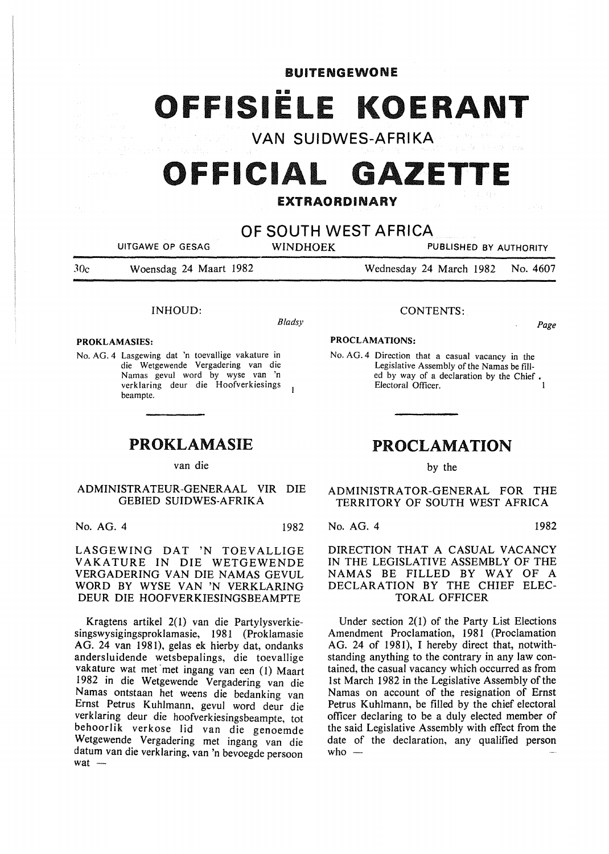## **BUITENGEWONE**

OFFISIËLE KOERANT

**VAN SUIDWES-AFRIKA** 

# **OFFICIAL GAZETTE**

# EXTRAORDINARY

**OF SOUTH WEST AFRICA** 

UITGAWE OP GESAG WINDHOEK PUBLISHED BY AUTHORITY

JOe Woensdag 24 Maart 1982

Wednesday 24 March 1982 No. 4607

## INHOUD:

*Bladsy* 

#### PROKLAMASIES:

No. AG. 4 Lasgewing dat 'n toevallige vakature in die Wetgewende Vergadering van die Namas gevul word by wyse van 'n verklaring deur die Hoofverkiesings  $\overline{1}$ beampte.

# PROKLAMASIE

van die

# ADMINISTRATEUR-GENERAAL VIR DIE GEBIED SUIDWES-AFRIKA

No. AG. 4 1982

LASGEWING DAT 'N TOEVALLIGE V AKATURE IN DIE WETGEWENDE VERGADERING VAN DIE NAMAS GEVUL WORD BY WYSE VAN 'N VERKLARING DEUR DIE HOOFVERKIESINGSBEAMPTE

Kragtens artikel 2(1) van die Partylysverkiesingswysigingsproklamasie, 1981 (Proklamasie AG. 24 van 1981), gelas ek hierby dat, ondanks andersluidende wetsbepalings, die toevallige vakature wat met met ingang van een (1) Maart 1982 in die Wetgewende Vergadering van die Namas ontstaan het weens die bedanking van Ernst Petrus Kuhlmann, gevul word deur die verklaring deur die hoofverkiesingsbeampte, tot behoorlik verkose lid van die genoemde Wetgewende Vergadering met ingang van die datum van die verklaring, van 'n bevoegde persoon wat $-$ 

#### CONTENTS:

*Page* 

#### PROCLAMATIONS:

No. AG. 4 Direction that a casual vacancy in the Legislative Assembly of the Namas be filled by way of a declaration by the Chief • Electoral Officer.

# PROCLAMATION

by the

ADMINISTRATOR-GENERAL FOR THE TERRITORY OF SOUTH WEST AFRICA

#### No. AG. 4 1982

DIRECTION THAT A CASUAL VACANCY IN THE LEGISLATIVE ASSEMBLY OF THE NAMAS BE FILLED BY WAY OF A DECLARATION BY THE CHIEF ELEC-TORAL OFFICER

Under section 2(1) of the Party List Elections Amendment Proclamation, 1981 (Proclamation AG. 24 of 1981), I hereby direct that, notwithstanding anything to the contrary in any law contained, the casual vacancy which occurred as from 1st March 1982 in the Legislative Assembly of the Namas on account of the resignation of Ernst Petrus Kuhlmann, be filled by the chief electoral officer declaring to be a duly elected member of the said Legislative Assembly with effect from the date of the declaration, any qualified person who  $-$